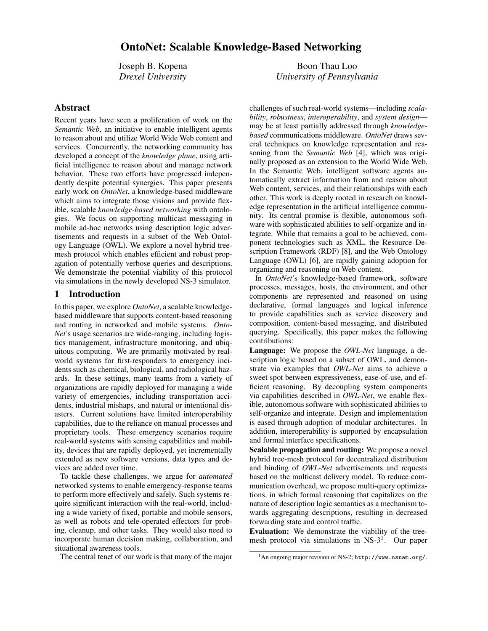# OntoNet: Scalable Knowledge-Based Networking

Joseph B. Kopena *Drexel University*

### Abstract

Recent years have seen a proliferation of work on the *Semantic Web*, an initiative to enable intelligent agents to reason about and utilize World Wide Web content and services. Concurrently, the networking community has developed a concept of the *knowledge plane*, using artificial intelligence to reason about and manage network behavior. These two efforts have progressed independently despite potential synergies. This paper presents early work on *OntoNet*, a knowledge-based middleware which aims to integrate those visions and provide flexible, scalable *knowledge-based networking* with ontologies. We focus on supporting multicast messaging in mobile ad-hoc networks using description logic advertisements and requests in a subset of the Web Ontology Language (OWL). We explore a novel hybrid treemesh protocol which enables efficient and robust propagation of potentially verbose queries and descriptions. We demonstrate the potential viability of this protocol via simulations in the newly developed NS-3 simulator.

## 1 Introduction

In this paper, we explore *OntoNet*, a scalable knowledgebased middleware that supports content-based reasoning and routing in networked and mobile systems. *Onto-Net*'s usage scenarios are wide-ranging, including logistics management, infrastructure monitoring, and ubiquitous computing. We are primarily motivated by realworld systems for first-responders to emergency incidents such as chemical, biological, and radiological hazards. In these settings, many teams from a variety of organizations are rapidly deployed for managing a wide variety of emergencies, including transportation accidents, industrial mishaps, and natural or intentional disasters. Current solutions have limited interoperability capabilities, due to the reliance on manual processes and proprietary tools. These emergency scenarios require real-world systems with sensing capabilities and mobility, devices that are rapidly deployed, yet incrementally extended as new software versions, data types and devices are added over time.

To tackle these challenges, we argue for *automated* networked systems to enable emergency-response teams to perform more effectively and safely. Such systems require significant interaction with the real-world, including a wide variety of fixed, portable and mobile sensors, as well as robots and tele-operated effectors for probing, cleanup, and other tasks. They would also need to incorporate human decision making, collaboration, and situational awareness tools.

The central tenet of our work is that many of the major

Boon Thau Loo *University of Pennsylvania*

challenges of such real-world systems—including *scalability*, *robustness*, *interoperability*, and *system design* may be at least partially addressed through *knowledgebased* communications middleware. *OntoNet* draws several techniques on knowledge representation and reasoning from the *Semantic Web* [4], which was originally proposed as an extension to the World Wide Web. In the Semantic Web, intelligent software agents automatically extract information from and reason about Web content, services, and their relationships with each other. This work is deeply rooted in research on knowledge representation in the artificial intelligence community. Its central promise is flexible, autonomous software with sophisticated abilities to self-organize and integrate. While that remains a goal to be achieved, component technologies such as XML, the Resource Description Framework (RDF) [8], and the Web Ontology Language (OWL) [6], are rapidly gaining adoption for organizing and reasoning on Web content.

In *OntoNet*'s knowledge-based framework, software processes, messages, hosts, the environment, and other components are represented and reasoned on using declarative, formal languages and logical inference to provide capabilities such as service discovery and composition, content-based messaging, and distributed querying. Specifically, this paper makes the following contributions:

Language: We propose the *OWL-Net* language, a description logic based on a subset of OWL, and demonstrate via examples that *OWL-Net* aims to achieve a sweet spot between expressiveness, ease-of-use, and efficient reasoning. By decoupling system components via capabilities described in *OWL-Net*, we enable flexible, autonomous software with sophisticated abilities to self-organize and integrate. Design and implementation is eased through adoption of modular architectures. In addition, interoperability is supported by encapsulation and formal interface specifications.

Scalable propagation and routing: We propose a novel hybrid tree-mesh protocol for decentralized distribution and binding of *OWL-Net* advertisements and requests based on the multicast delivery model. To reduce communication overhead, we propose multi-query optimizations, in which formal reasoning that capitalizes on the nature of description logic semantics as a mechanism towards aggregating descriptions, resulting in decreased forwarding state and control traffic.

Evaluation: We demonstrate the viability of the treemesh protocol via simulations in NS-3<sup>1</sup>. Our paper

<sup>1</sup>An ongoing major revision of NS-2; http://www.nsnam.org/.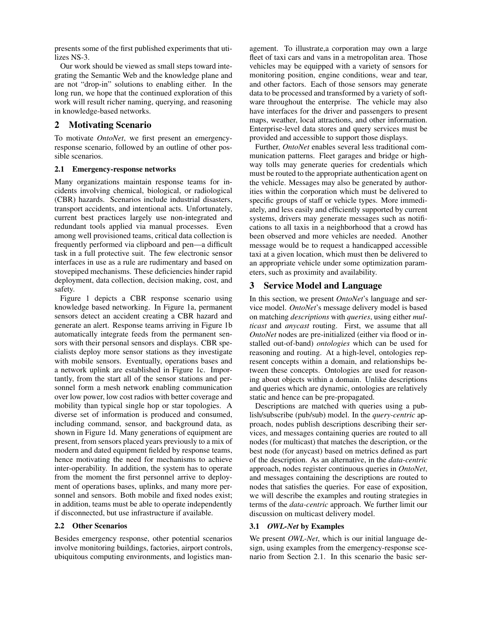presents some of the first published experiments that utilizes NS-3.

Our work should be viewed as small steps toward integrating the Semantic Web and the knowledge plane and are not "drop-in" solutions to enabling either. In the long run, we hope that the continued exploration of this work will result richer naming, querying, and reasoning in knowledge-based networks.

## 2 Motivating Scenario

To motivate *OntoNet*, we first present an emergencyresponse scenario, followed by an outline of other possible scenarios.

#### 2.1 Emergency-response networks

Many organizations maintain response teams for incidents involving chemical, biological, or radiological (CBR) hazards. Scenarios include industrial disasters, transport accidents, and intentional acts. Unfortunately, current best practices largely use non-integrated and redundant tools applied via manual processes. Even among well provisioned teams, critical data collection is frequently performed via clipboard and pen—a difficult task in a full protective suit. The few electronic sensor interfaces in use as a rule are rudimentary and based on stovepiped mechanisms. These deficiencies hinder rapid deployment, data collection, decision making, cost, and safety.

Figure 1 depicts a CBR response scenario using knowledge based networking. In Figure 1a, permanent sensors detect an accident creating a CBR hazard and generate an alert. Response teams arriving in Figure 1b automatically integrate feeds from the permanent sensors with their personal sensors and displays. CBR specialists deploy more sensor stations as they investigate with mobile sensors. Eventually, operations bases and a network uplink are established in Figure 1c. Importantly, from the start all of the sensor stations and personnel form a mesh network enabling communication over low power, low cost radios with better coverage and mobility than typical single hop or star topologies. A diverse set of information is produced and consumed, including command, sensor, and background data, as shown in Figure 1d. Many generations of equipment are present, from sensors placed years previously to a mix of modern and dated equipment fielded by response teams, hence motivating the need for mechanisms to achieve inter-operability. In addition, the system has to operate from the moment the first personnel arrive to deployment of operations bases, uplinks, and many more personnel and sensors. Both mobile and fixed nodes exist; in addition, teams must be able to operate independently if disconnected, but use infrastructure if available.

#### 2.2 Other Scenarios

Besides emergency response, other potential scenarios involve monitoring buildings, factories, airport controls, ubiquitous computing environments, and logistics management. To illustrate,a corporation may own a large fleet of taxi cars and vans in a metropolitan area. Those vehicles may be equipped with a variety of sensors for monitoring position, engine conditions, wear and tear, and other factors. Each of those sensors may generate data to be processed and transformed by a variety of software throughout the enterprise. The vehicle may also have interfaces for the driver and passengers to present maps, weather, local attractions, and other information. Enterprise-level data stores and query services must be provided and accessible to support those displays.

Further, *OntoNet* enables several less traditional communication patterns. Fleet garages and bridge or highway tolls may generate queries for credentials which must be routed to the appropriate authentication agent on the vehicle. Messages may also be generated by authorities within the corporation which must be delivered to specific groups of staff or vehicle types. More immediately, and less easily and efficiently supported by current systems, drivers may generate messages such as notifications to all taxis in a neighborhood that a crowd has been observed and more vehicles are needed. Another message would be to request a handicapped accessible taxi at a given location, which must then be delivered to an appropriate vehicle under some optimization parameters, such as proximity and availability.

## 3 Service Model and Language

In this section, we present *OntoNet*'s language and service model. *OntoNet*'s message delivery model is based on matching *descriptions* with *queries*, using either *multicast* and *anycast* routing. First, we assume that all *OntoNet* nodes are pre-initialized (either via flood or installed out-of-band) *ontologies* which can be used for reasoning and routing. At a high-level, ontologies represent concepts within a domain, and relationships between these concepts. Ontologies are used for reasoning about objects within a domain. Unlike descriptions and queries which are dynamic, ontologies are relatively static and hence can be pre-propagated.

Descriptions are matched with queries using a publish/subscribe (pub/sub) model. In the *query-centric* approach, nodes publish descriptions describing their services, and messages containing queries are routed to all nodes (for multicast) that matches the description, or the best node (for anycast) based on metrics defined as part of the description. As an alternative, in the *data-centric* approach, nodes register continuous queries in *OntoNet*, and messages containing the descriptions are routed to nodes that satisfies the queries. For ease of exposition, we will describe the examples and routing strategies in terms of the *data-centric* approach. We further limit our discussion on multicast delivery model.

#### 3.1 *OWL-Net* by Examples

We present *OWL-Net*, which is our initial language design, using examples from the emergency-response scenario from Section 2.1. In this scenario the basic ser-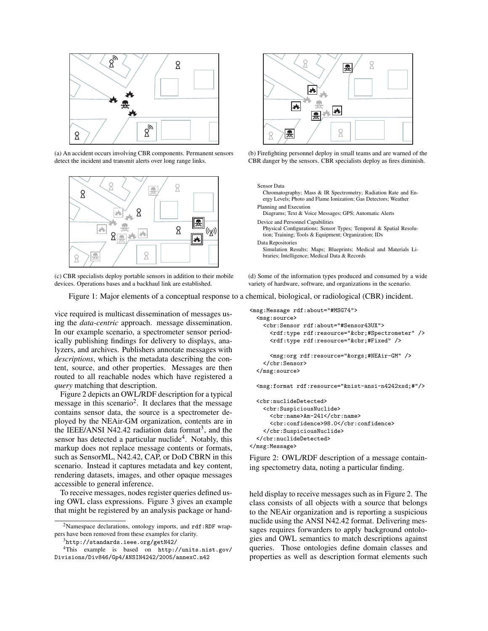

(a) An accident occurs involving CBR components. Permanent sensors detect the incident and transmit alerts over long range links.



(c) CBR specialists deploy portable sensors in addition to their mobile devices. Operations bases and a backhaul link are established.



(b) Firefighting personnel deploy in small teams and are warned of the CBR danger by the sensors. CBR specialists deploy as fires diminish.

Sensor Data

- Chromatography; Mass & IR Spectrometry; Radiation Rate and Energy Levels; Photo and Flame Ionization; Gas Detectors; Weather Planning and Execution
- Diagrams; Text & Voice Messages; GPS; Automatic Alerts Device and Personnel Capabilities
- Physical Configurations; Sensor Types; Temporal & Spatial Resolution; Training; Tools & Equipment; Organization; IDs

Data Repositories

Simulation Results; Maps; Blueprints; Medical and Materials Libraries; Intelligence; Medical Data & Records

(d) Some of the information types produced and consumed by a wide variety of hardware, software, and organizations in the scenario.

Figure 1: Major elements of a conceptual response to a chemical, biological, or radiological (CBR) incident.

vice required is multicast dissemination of messages using the *data-centric* approach. message dissemination. In our example scenario, a spectrometer sensor periodically publishing findings for delivery to displays, analyzers, and archives. Publishers annotate messages with *descriptions*, which is the metadata describing the content, source, and other properties. Messages are then routed to all reachable nodes which have registered a *query* matching that description.

Figure 2 depicts an OWL/RDF description for a typical message in this scenario<sup>2</sup>. It declares that the message contains sensor data, the source is a spectrometer deployed by the NEAir-GM organization, contents are in the IEEE/ANSI N42.42 radiation data format<sup>3</sup>, and the sensor has detected a particular nuclide<sup>4</sup>. Notably, this markup does not replace message contents or formats, such as SensorML, N42.42, CAP, or DoD CBRN in this scenario. Instead it captures metadata and key content, rendering datasets, images, and other opaque messages accessible to general inference.

To receive messages, nodes register queries defined using OWL class expressions. Figure 3 gives an example that might be registered by an analysis package or hand-

```
<msg:Message rdf:about="#MSG74">
 <msg:source>
   <cbr:Sensor rdf:about="#Sensor43UX">
     <rdf:type rdf:resource="&cbr;#Spectrometer" />
     <rdf:type rdf:resource="&cbr;#Fixed" />
     <msg:org rdf:resource="&orgs;#NEAir-GM" />
   </cbr:Sensor>
 </msg:source>
 <msg:format rdf:resource="&nist-ansi-n4242xsd;#"/>
```

```
<cbr:nuclideDetected>
    <cbr:SuspiciousNuclide>
      <cbr:name>Am-241</cbr:name>
      <cbr:confidence>98.0</cbr:confidence>
    </cbr:SuspiciousNuclide>
  </cbr:nuclideDetected>
</msg:Message>
```
Figure 2: OWL/RDF description of a message containing spectometry data, noting a particular finding.

held display to receive messages such as in Figure 2. The class consists of all objects with a source that belongs to the NEAir organization and is reporting a suspicious nuclide using the ANSI N42.42 format. Delivering messages requires forwarders to apply background ontologies and OWL semantics to match descriptions against queries. Those ontologies define domain classes and properties as well as description format elements such

 $2$ Namespace declarations, ontology imports, and  $\texttt{rdf:RDF}$  wrappers have been removed from these examples for clarity.

 $3$ http://standards.ieee.org/getN42/

<sup>4</sup>This example is based on http://units.nist.gov/ Divisions/Div846/Gp4/ANSIN4242/2005/annexC.n42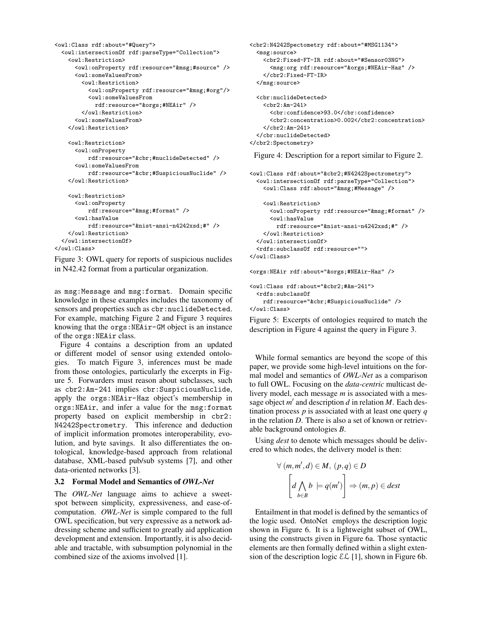```
<owl:Class rdf:about="#Query">
  <owl:intersectionOf rdf:parseType="Collection">
    <owl:Restriction>
      <owl:onProperty rdf:resource="&msg;#source" />
      <owl:someValuesFrom>
        <owl:Restriction>
          <owl:onProperty rdf:resource="&msg;#org"/>
          <owl:someValuesFrom
            rdf:resource="&orgs;#NEAir" />
        </owl:Restriction>
      <owl:someValuesFrom>
    </owl:Restriction>
    <owl:Restriction>
      <owl:onProperty
         rdf:resource="&cbr;#nuclideDetected" />
      <owl:someValuesFrom
         rdf:resource="&cbr;#SuspiciousNuclide" />
    </owl:Restriction>
    <owl:Restriction>
      <owl:onProperty
         rdf:resource="&msg;#format" />
      <owl:hasValue
         rdf:resource="&nist-ansi-n4242xsd;#" />
    </owl:Restriction>
  </owl:intersectionOf>
```
</owl:Class>

Figure 3: OWL query for reports of suspicious nuclides in N42.42 format from a particular organization.

as msg:Message and msg:format. Domain specific knowledge in these examples includes the taxonomy of sensors and properties such as cbr:nuclideDetected. For example, matching Figure 2 and Figure 3 requires knowing that the orgs:NEAir-GM object is an instance of the orgs:NEAir class.

Figure 4 contains a description from an updated or different model of sensor using extended ontologies. To match Figure 3, inferences must be made from those ontologies, particularly the excerpts in Figure 5. Forwarders must reason about subclasses, such as cbr2:Am-241 implies cbr:SuspiciousNuclide, apply the orgs:NEAir-Haz object's membership in orgs:NEAir, and infer a value for the msg:format property based on explicit membership in cbr2: N4242Spectrometry. This inference and deduction of implicit information promotes interoperability, evolution, and byte savings. It also differentiates the ontological, knowledge-based approach from relational database, XML-based pub/sub systems [7], and other data-oriented networks [3].

#### 3.2 Formal Model and Semantics of *OWL-Net*

The *OWL-Net* language aims to achieve a sweetspot between simplicity, expressiveness, and ease-ofcomputation. *OWL-Net* is simple compared to the full OWL specification, but very expressive as a network addressing scheme and sufficient to greatly aid application development and extension. Importantly, it is also decidable and tractable, with subsumption polynomial in the combined size of the axioms involved [1].

```
<cbr2:N4242Spectometry rdf:about="#MSG1134">
 <msg:source>
   <cbr2:Fixed-FT-IR rdf:about="#Sensor03NG">
      <msg:org rdf:resource="&orgs;#NEAir-Haz" />
    </cbr2:Fixed-FT-IR>
 </msg:source>
 <cbr:nuclideDetected>
    <cbr2:Am-241>
      <cbr:confidence>93.0</cbr:confidence>
      <cbr2:concentration>0.002</cbr2:concentration>
   </cbr2:Am-241>
 </cbr:nuclideDetected>
</cbr2:Spectometry>
```
Figure 4: Description for a report similar to Figure 2.

```
<owl:Class rdf:about="&cbr2;#N4242Spectrometry">
  <owl:intersectionOf rdf:parseType="Collection">
   <owl:Class rdf:about="&msg;#Message" />
   <owl:Restriction>
      <owl:onProperty rdf:resource="&msg;#format" />
      <owl:hasValue
       rdf:resource="&nist-ansi-n4242xsd;#" />
   </owl:Restriction>
 </owl:intersectionOf>
  <rdfs:subclassOf rdf:resource="">
</owl:Class>
<orgs:NEAir rdf:about="&orgs;#NEAir-Haz" />
<owl:Class rdf:about="&cbr2;#Am-241">
```
<rdfs:subclassOf rdf:resource="&cbr;#SuspiciousNuclide" /> </owl:Class>

Figure 5: Excerpts of ontologies required to match the description in Figure 4 against the query in Figure 3.

While formal semantics are beyond the scope of this paper, we provide some high-level intuitions on the formal model and semantics of *OWL-Net* as a comparison to full OWL. Focusing on the *data-centric* multicast delivery model, each message *m* is associated with a message object  $m'$  and description  $d$  in relation  $M$ . Each destination process *p* is associated with at least one query *q* in the relation *D*. There is also a set of known or retrievable background ontologies *B*.

Using *dest* to denote which messages should be delivered to which nodes, the delivery model is then:

$$
\forall (m, m', d) \in M, (p, q) \in D
$$

$$
\left[ d \bigwedge_{b \in B} b \models q(m') \right] \Rightarrow (m, p) \in dest
$$

Entailment in that model is defined by the semantics of the logic used. OntoNet employs the description logic shown in Figure 6. It is a lightweight subset of OWL, using the constructs given in Figure 6a. Those syntactic elements are then formally defined within a slight extension of the description logic  $\mathcal{EL}[1]$ , shown in Figure 6b.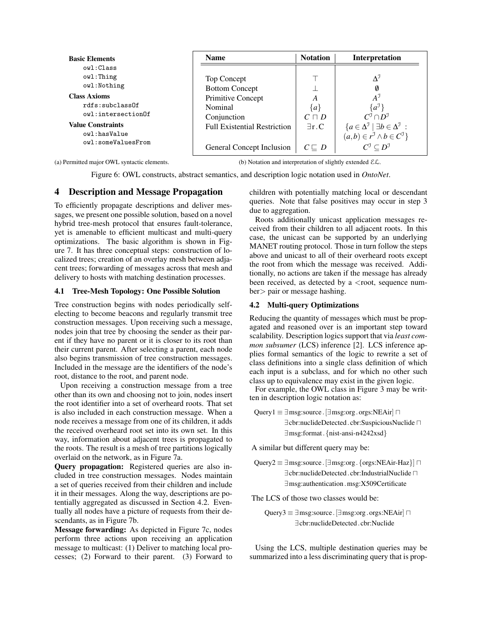| <b>Basic Elements</b>                 | <b>Name</b>                         | <b>Notation</b> | <b>Interpretation</b>                                                    |
|---------------------------------------|-------------------------------------|-----------------|--------------------------------------------------------------------------|
| owl:Class                             |                                     |                 |                                                                          |
| owl:Thing<br>owl:Nothing              | Top Concept                         |                 | $\Delta^3$                                                               |
|                                       | <b>Bottom Concept</b>               |                 | Ø                                                                        |
| <b>Class Axioms</b>                   | <b>Primitive Concept</b>            | A               | $A^{\mathcal{I}}$                                                        |
| rdfs:subclassOf<br>owl:intersectionOf | Nominal                             | $\{a\}$         | $\left\{a^{\scriptscriptstyle 0}\right\}$                                |
|                                       | Conjunction                         | $C \sqcap D$    | $C^{\mathcal{I}} \cap D^{\mathcal{I}}$                                   |
| <b>Value Constraints</b>              | <b>Full Existential Restriction</b> | $\exists$ r.C   | ${a \in \Delta^{\mathcal{I}} \mid \exists b \in \Delta^{\mathcal{I}}}$ : |
| owl:hasValue<br>owl:someValuesFrom    |                                     |                 | $(a,b) \in r^{\mathcal{I}} \wedge b \in C^{\mathcal{I}}$                 |
|                                       | General Concept Inclusion           | $C \sqsubset D$ | $C^{\mathcal{I}}\subseteq D^{\mathcal{I}}$                               |

(a) Permitted major OWL syntactic elements.

(b) Notation and interpretation of slightly extended EL.

Figure 6: OWL constructs, abstract semantics, and description logic notation used in *OntoNet*.

# 4 Description and Message Propagation

To efficiently propagate descriptions and deliver messages, we present one possible solution, based on a novel hybrid tree-mesh protocol that ensures fault-tolerance, yet is amenable to efficient multicast and multi-query optimizations. The basic algorithm is shown in Figure 7. It has three conceptual steps: construction of localized trees; creation of an overlay mesh between adjacent trees; forwarding of messages across that mesh and delivery to hosts with matching destination processes.

#### 4.1 Tree-Mesh Topology: One Possible Solution

Tree construction begins with nodes periodically selfelecting to become beacons and regularly transmit tree construction messages. Upon receiving such a message, nodes join that tree by choosing the sender as their parent if they have no parent or it is closer to its root than their current parent. After selecting a parent, each node also begins transmission of tree construction messages. Included in the message are the identifiers of the node's root, distance to the root, and parent node.

Upon receiving a construction message from a tree other than its own and choosing not to join, nodes insert the root identifier into a set of overheard roots. That set is also included in each construction message. When a node receives a message from one of its children, it adds the received overheard root set into its own set. In this way, information about adjacent trees is propagated to the roots. The result is a mesh of tree partitions logically overlaid on the network, as in Figure 7a.

Query propagation: Registered queries are also included in tree construction messages. Nodes maintain a set of queries received from their children and include it in their messages. Along the way, descriptions are potentially aggregated as discussed in Section 4.2. Eventually all nodes have a picture of requests from their descendants, as in Figure 7b.

Message forwarding: As depicted in Figure 7c, nodes perform three actions upon receiving an application message to multicast: (1) Deliver to matching local processes; (2) Forward to their parent. (3) Forward to children with potentially matching local or descendant queries. Note that false positives may occur in step 3 due to aggregation.

Roots additionally unicast application messages received from their children to all adjacent roots. In this case, the unicast can be supported by an underlying MANET routing protocol. Those in turn follow the steps above and unicast to all of their overheard roots except the root from which the message was received. Additionally, no actions are taken if the message has already been received, as detected by a  $\lt$ root, sequence number> pair or message hashing.

### 4.2 Multi-query Optimizations

Reducing the quantity of messages which must be propagated and reasoned over is an important step toward scalability. Description logics support that via *least common subsumer* (LCS) inference [2]. LCS inference applies formal semantics of the logic to rewrite a set of class definitions into a single class definition of which each input is a subclass, and for which no other such class up to equivalence may exist in the given logic.

For example, the OWL class in Figure 3 may be written in description logic notation as:

$$
Query1 \equiv \exists msg:source. [\exists msg:org.orgs.NEAir] \sqcap
$$
  

$$
\exists \text{cbr:nuclideDetected. cbr: SuspiciousNuclei } \sqcap
$$
  

$$
\exists msg:format. \{nist-ansi-n4242xsd\}
$$

A similar but different query may be:

$$
Query2 \equiv \exists \, msg:source \, . [\exists \, msg:org \, . \{orgs:NEAir-Haz\}] \, \sqcap \, \exists \, cbr:nuclideDetected \, . \, cbr:IndustrialNuclide \, \sqcap \, \exists \, msg:authentication \, . \, msg: X509Certificance
$$

The LCS of those two classes would be:

Query3  $\equiv \exists$  msg:source .  $[\exists$  msg:org.orgs:NEAir $] \sqcap$ ∃cbr:nuclideDetected.cbr:Nuclide

Using the LCS, multiple destination queries may be summarized into a less discriminating query that is prop-